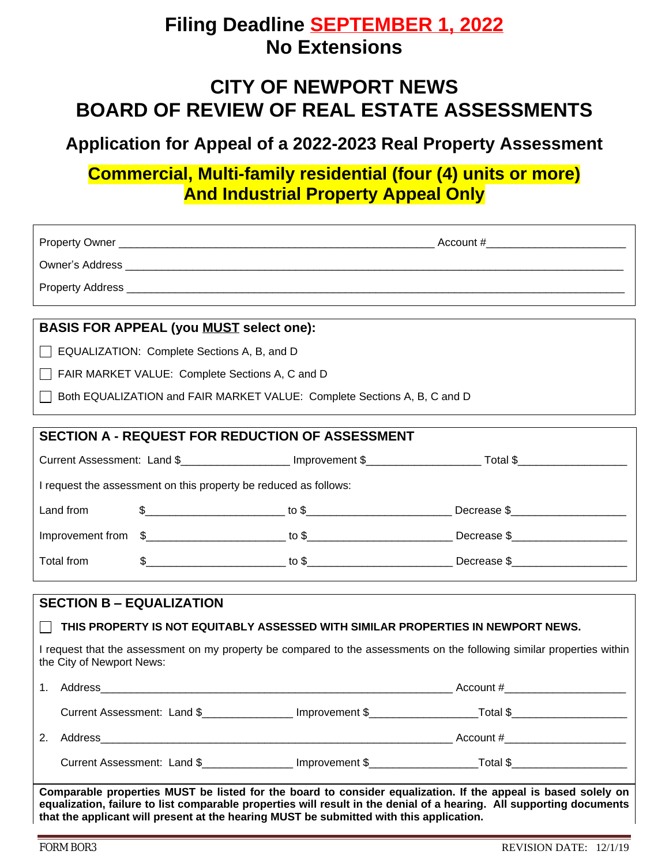## **Filing Deadline SEPTEMBER 1, 2022 No Extensions**

## **CITY OF NEWPORT NEWS BOARD OF REVIEW OF REAL ESTATE ASSESSMENTS**

**Application for Appeal of a 2022-2023 Real Property Assessment**

## **Commercial, Multi-family residential (four (4) units or more) And Industrial Property Appeal Only**

| <b>BASIS FOR APPEAL (you MUST select one):</b>                                                   |  |                                                                                                                        |  |  |
|--------------------------------------------------------------------------------------------------|--|------------------------------------------------------------------------------------------------------------------------|--|--|
| EQUALIZATION: Complete Sections A, B, and D                                                      |  |                                                                                                                        |  |  |
| FAIR MARKET VALUE: Complete Sections A, C and D                                                  |  |                                                                                                                        |  |  |
| Both EQUALIZATION and FAIR MARKET VALUE: Complete Sections A, B, C and D                         |  |                                                                                                                        |  |  |
| <b>SECTION A - REQUEST FOR REDUCTION OF ASSESSMENT</b>                                           |  |                                                                                                                        |  |  |
|                                                                                                  |  |                                                                                                                        |  |  |
| I request the assessment on this property be reduced as follows:                                 |  |                                                                                                                        |  |  |
| Land from                                                                                        |  | $\frac{1}{2}$ Decrease $\frac{1}{2}$ Decrease $\frac{1}{2}$                                                            |  |  |
|                                                                                                  |  |                                                                                                                        |  |  |
| Total from                                                                                       |  | $$$ Decrease $$$                                                                                                       |  |  |
| <b>SECTION B - EQUALIZATION</b>                                                                  |  |                                                                                                                        |  |  |
| THIS PROPERTY IS NOT EQUITABLY ASSESSED WITH SIMILAR PROPERTIES IN NEWPORT NEWS.<br>$\mathsf{L}$ |  |                                                                                                                        |  |  |
| the City of Newport News:                                                                        |  | I request that the assessment on my property be compared to the assessments on the following similar properties within |  |  |
|                                                                                                  |  |                                                                                                                        |  |  |
| Current Assessment: Land \$_______________ Improvement \$_________                               |  | _____________Total \$_                                                                                                 |  |  |
|                                                                                                  |  |                                                                                                                        |  |  |
| 2.                                                                                               |  |                                                                                                                        |  |  |